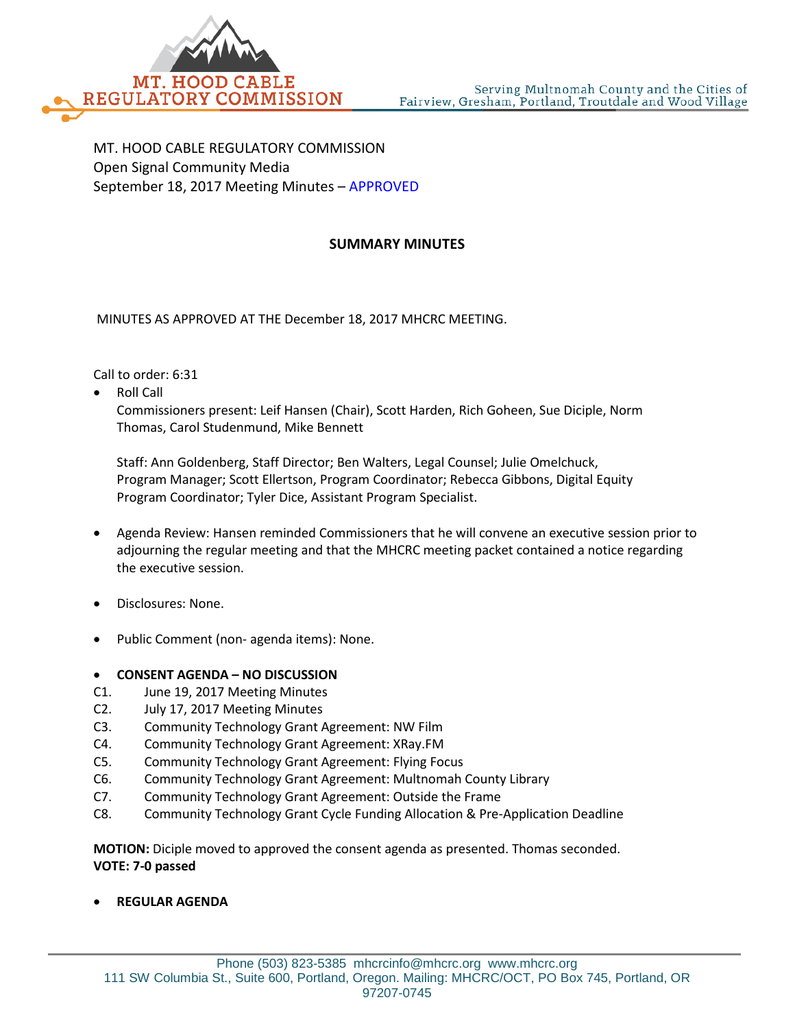

MT. HOOD CABLE REGULATORY COMMISSION Open Signal Community Media September 18, 2017 Meeting Minutes – APPROVED

## **SUMMARY MINUTES**

MINUTES AS APPROVED AT THE December 18, 2017 MHCRC MEETING.

Call to order: 6:31

• Roll Call

Commissioners present: Leif Hansen (Chair), Scott Harden, Rich Goheen, Sue Diciple, Norm Thomas, Carol Studenmund, Mike Bennett

Staff: Ann Goldenberg, Staff Director; Ben Walters, Legal Counsel; Julie Omelchuck, Program Manager; Scott Ellertson, Program Coordinator; Rebecca Gibbons, Digital Equity Program Coordinator; Tyler Dice, Assistant Program Specialist.

- Agenda Review: Hansen reminded Commissioners that he will convene an executive session prior to adjourning the regular meeting and that the MHCRC meeting packet contained a notice regarding the executive session.
- Disclosures: None.
- Public Comment (non- agenda items): None.

## • **CONSENT AGENDA – NO DISCUSSION**

- C1. June 19, 2017 Meeting Minutes
- C2. July 17, 2017 Meeting Minutes
- C3. Community Technology Grant Agreement: NW Film
- C4. Community Technology Grant Agreement: XRay.FM
- C5. Community Technology Grant Agreement: Flying Focus
- C6. Community Technology Grant Agreement: Multnomah County Library
- C7. Community Technology Grant Agreement: Outside the Frame
- C8. Community Technology Grant Cycle Funding Allocation & Pre-Application Deadline

**MOTION:** Diciple moved to approved the consent agenda as presented. Thomas seconded. **VOTE: 7-0 passed**

• **REGULAR AGENDA**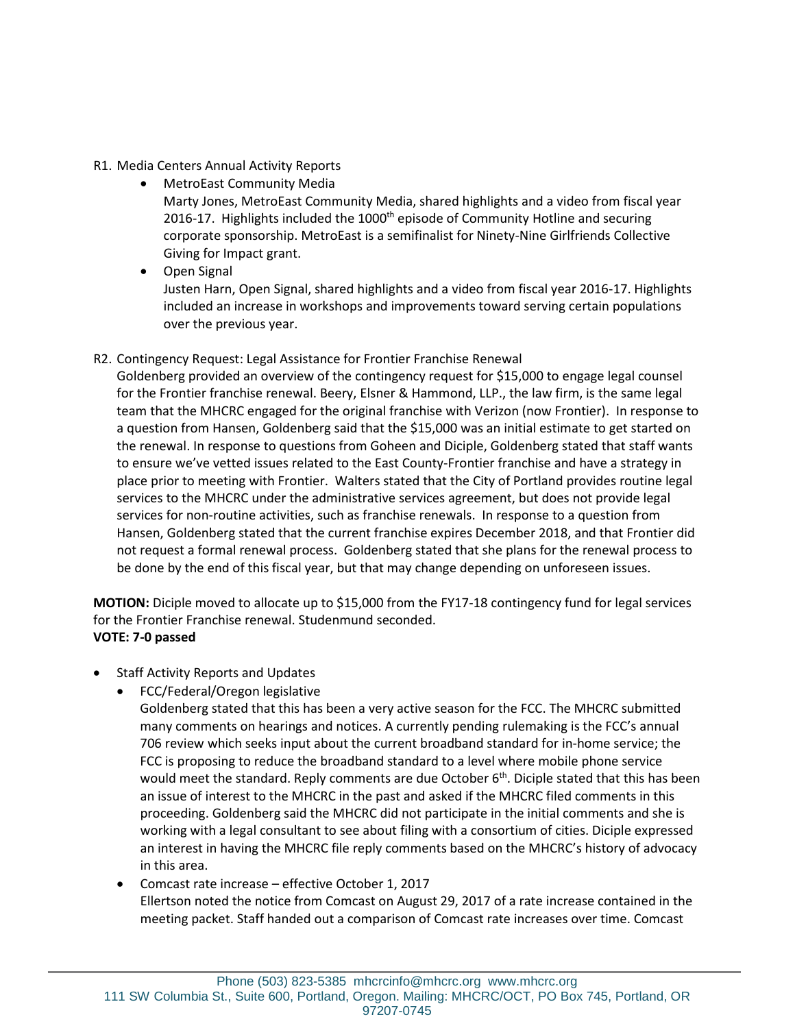## R1. Media Centers Annual Activity Reports

- MetroEast Community Media Marty Jones, MetroEast Community Media, shared highlights and a video from fiscal year 2016-17. Highlights included the  $1000<sup>th</sup>$  episode of Community Hotline and securing corporate sponsorship. MetroEast is a semifinalist for Ninety-Nine Girlfriends Collective Giving for Impact grant.
- Open Signal Justen Harn, Open Signal, shared highlights and a video from fiscal year 2016-17. Highlights included an increase in workshops and improvements toward serving certain populations over the previous year.

## R2. Contingency Request: Legal Assistance for Frontier Franchise Renewal

Goldenberg provided an overview of the contingency request for \$15,000 to engage legal counsel for the Frontier franchise renewal. Beery, Elsner & Hammond, LLP., the law firm, is the same legal team that the MHCRC engaged for the original franchise with Verizon (now Frontier). In response to a question from Hansen, Goldenberg said that the \$15,000 was an initial estimate to get started on the renewal. In response to questions from Goheen and Diciple, Goldenberg stated that staff wants to ensure we've vetted issues related to the East County-Frontier franchise and have a strategy in place prior to meeting with Frontier. Walters stated that the City of Portland provides routine legal services to the MHCRC under the administrative services agreement, but does not provide legal services for non-routine activities, such as franchise renewals. In response to a question from Hansen, Goldenberg stated that the current franchise expires December 2018, and that Frontier did not request a formal renewal process. Goldenberg stated that she plans for the renewal process to be done by the end of this fiscal year, but that may change depending on unforeseen issues.

**MOTION:** Diciple moved to allocate up to \$15,000 from the FY17-18 contingency fund for legal services for the Frontier Franchise renewal. Studenmund seconded. **VOTE: 7-0 passed**

- Staff Activity Reports and Updates
	- FCC/Federal/Oregon legislative
		- Goldenberg stated that this has been a very active season for the FCC. The MHCRC submitted many comments on hearings and notices. A currently pending rulemaking is the FCC's annual 706 review which seeks input about the current broadband standard for in-home service; the FCC is proposing to reduce the broadband standard to a level where mobile phone service would meet the standard. Reply comments are due October  $6<sup>th</sup>$ . Diciple stated that this has been an issue of interest to the MHCRC in the past and asked if the MHCRC filed comments in this proceeding. Goldenberg said the MHCRC did not participate in the initial comments and she is working with a legal consultant to see about filing with a consortium of cities. Diciple expressed an interest in having the MHCRC file reply comments based on the MHCRC's history of advocacy in this area.
	- Comcast rate increase effective October 1, 2017 Ellertson noted the notice from Comcast on August 29, 2017 of a rate increase contained in the meeting packet. Staff handed out a comparison of Comcast rate increases over time. Comcast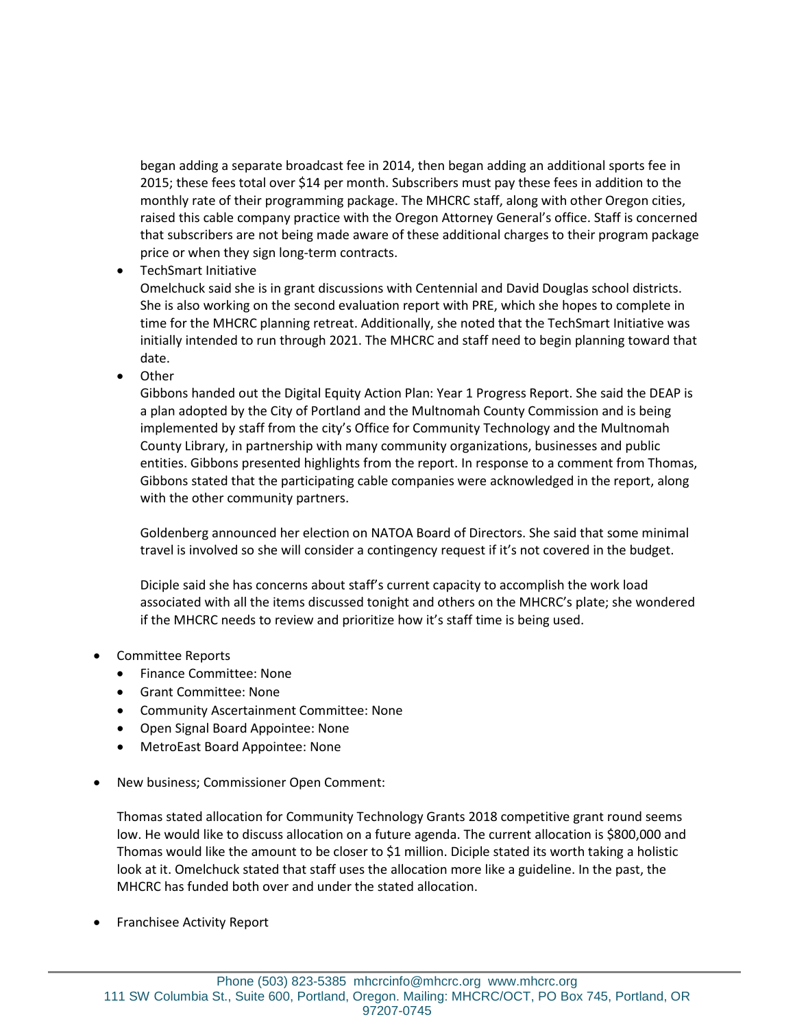began adding a separate broadcast fee in 2014, then began adding an additional sports fee in 2015; these fees total over \$14 per month. Subscribers must pay these fees in addition to the monthly rate of their programming package. The MHCRC staff, along with other Oregon cities, raised this cable company practice with the Oregon Attorney General's office. Staff is concerned that subscribers are not being made aware of these additional charges to their program package price or when they sign long-term contracts.

• TechSmart Initiative

Omelchuck said she is in grant discussions with Centennial and David Douglas school districts. She is also working on the second evaluation report with PRE, which she hopes to complete in time for the MHCRC planning retreat. Additionally, she noted that the TechSmart Initiative was initially intended to run through 2021. The MHCRC and staff need to begin planning toward that date.

• Other

Gibbons handed out the Digital Equity Action Plan: Year 1 Progress Report. She said the DEAP is a plan adopted by the City of Portland and the Multnomah County Commission and is being implemented by staff from the city's Office for Community Technology and the Multnomah County Library, in partnership with many community organizations, businesses and public entities. Gibbons presented highlights from the report. In response to a comment from Thomas, Gibbons stated that the participating cable companies were acknowledged in the report, along with the other community partners.

Goldenberg announced her election on NATOA Board of Directors. She said that some minimal travel is involved so she will consider a contingency request if it's not covered in the budget.

Diciple said she has concerns about staff's current capacity to accomplish the work load associated with all the items discussed tonight and others on the MHCRC's plate; she wondered if the MHCRC needs to review and prioritize how it's staff time is being used.

- Committee Reports
	- Finance Committee: None
	- Grant Committee: None
	- Community Ascertainment Committee: None
	- Open Signal Board Appointee: None
	- MetroEast Board Appointee: None
- New business; Commissioner Open Comment:

Thomas stated allocation for Community Technology Grants 2018 competitive grant round seems low. He would like to discuss allocation on a future agenda. The current allocation is \$800,000 and Thomas would like the amount to be closer to \$1 million. Diciple stated its worth taking a holistic look at it. Omelchuck stated that staff uses the allocation more like a guideline. In the past, the MHCRC has funded both over and under the stated allocation.

• Franchisee Activity Report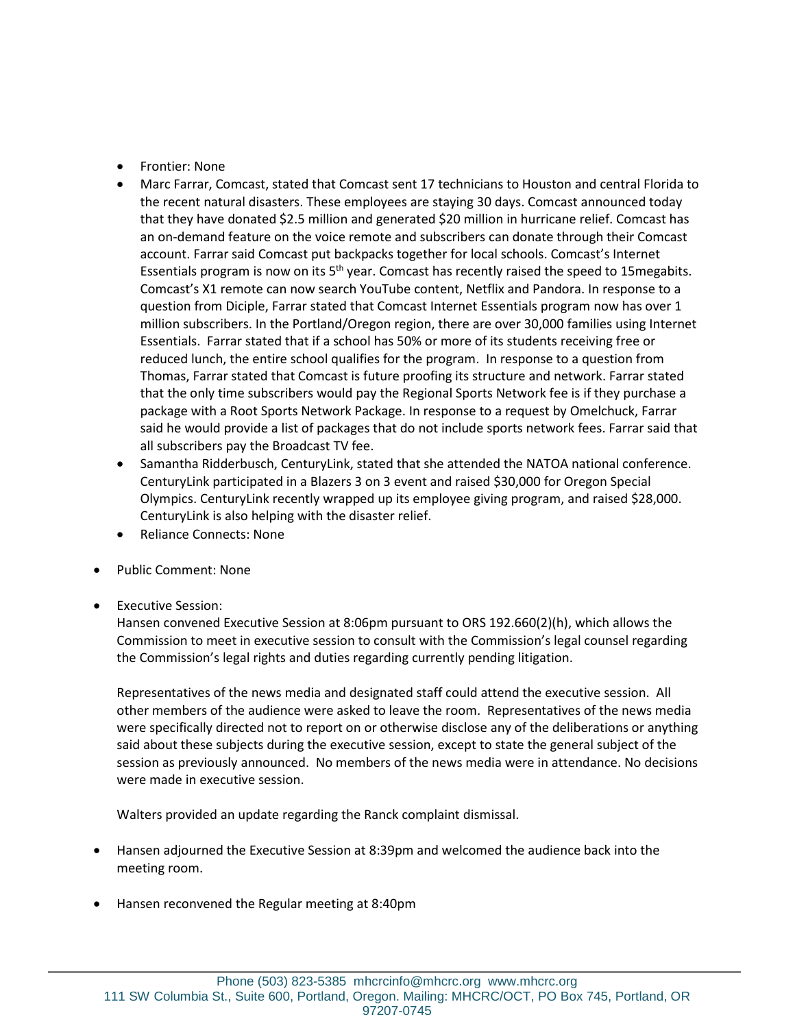- Frontier: None
- Marc Farrar, Comcast, stated that Comcast sent 17 technicians to Houston and central Florida to the recent natural disasters. These employees are staying 30 days. Comcast announced today that they have donated \$2.5 million and generated \$20 million in hurricane relief. Comcast has an on-demand feature on the voice remote and subscribers can donate through their Comcast account. Farrar said Comcast put backpacks together for local schools. Comcast's Internet Essentials program is now on its  $5<sup>th</sup>$  year. Comcast has recently raised the speed to 15 megabits. Comcast's X1 remote can now search YouTube content, Netflix and Pandora. In response to a question from Diciple, Farrar stated that Comcast Internet Essentials program now has over 1 million subscribers. In the Portland/Oregon region, there are over 30,000 families using Internet Essentials. Farrar stated that if a school has 50% or more of its students receiving free or reduced lunch, the entire school qualifies for the program. In response to a question from Thomas, Farrar stated that Comcast is future proofing its structure and network. Farrar stated that the only time subscribers would pay the Regional Sports Network fee is if they purchase a package with a Root Sports Network Package. In response to a request by Omelchuck, Farrar said he would provide a list of packages that do not include sports network fees. Farrar said that all subscribers pay the Broadcast TV fee.
- Samantha Ridderbusch, CenturyLink, stated that she attended the NATOA national conference. CenturyLink participated in a Blazers 3 on 3 event and raised \$30,000 for Oregon Special Olympics. CenturyLink recently wrapped up its employee giving program, and raised \$28,000. CenturyLink is also helping with the disaster relief.
- Reliance Connects: None
- Public Comment: None
- Executive Session:

Hansen convened Executive Session at 8:06pm pursuant to ORS 192.660(2)(h), which allows the Commission to meet in executive session to consult with the Commission's legal counsel regarding the Commission's legal rights and duties regarding currently pending litigation.

Representatives of the news media and designated staff could attend the executive session. All other members of the audience were asked to leave the room. Representatives of the news media were specifically directed not to report on or otherwise disclose any of the deliberations or anything said about these subjects during the executive session, except to state the general subject of the session as previously announced. No members of the news media were in attendance. No decisions were made in executive session.

Walters provided an update regarding the Ranck complaint dismissal.

- Hansen adjourned the Executive Session at 8:39pm and welcomed the audience back into the meeting room.
- Hansen reconvened the Regular meeting at 8:40pm